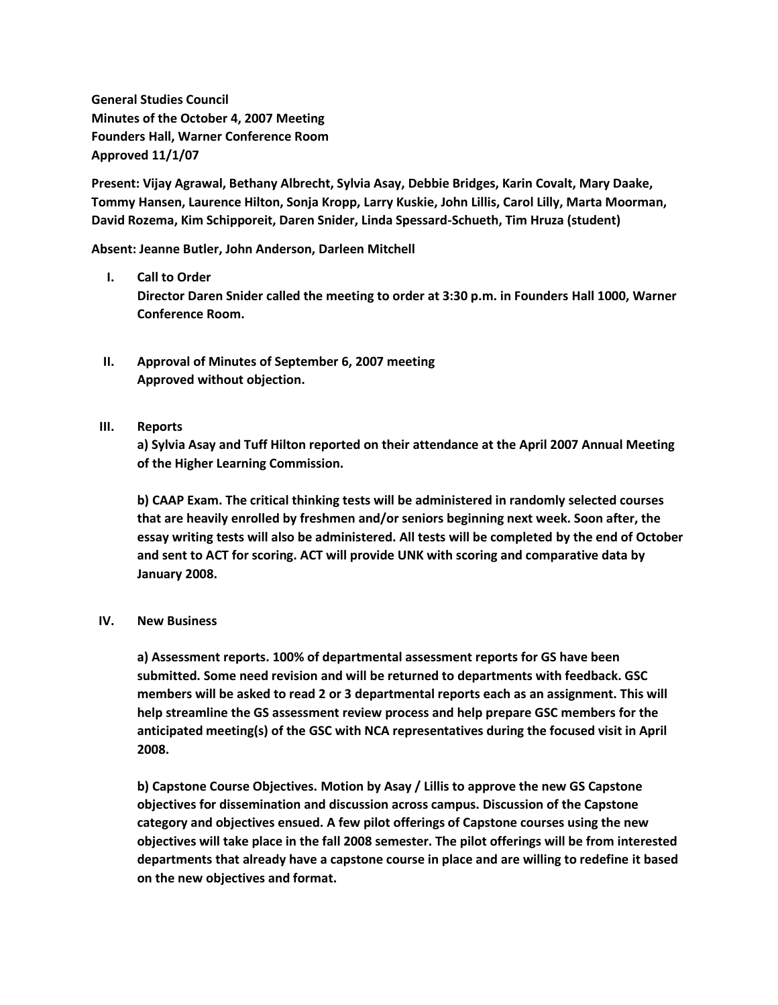**General Studies Council Minutes of the October 4, 2007 Meeting Founders Hall, Warner Conference Room Approved 11/1/07**

**Present: Vijay Agrawal, Bethany Albrecht, Sylvia Asay, Debbie Bridges, Karin Covalt, Mary Daake, Tommy Hansen, Laurence Hilton, Sonja Kropp, Larry Kuskie, John Lillis, Carol Lilly, Marta Moorman, David Rozema, Kim Schipporeit, Daren Snider, Linda Spessard-Schueth, Tim Hruza (student)**

**Absent: Jeanne Butler, John Anderson, Darleen Mitchell**

## **I. Call to Order**

**Director Daren Snider called the meeting to order at 3:30 p.m. in Founders Hall 1000, Warner Conference Room.**

- **II. Approval of Minutes of September 6, 2007 meeting Approved without objection.**
- **III. Reports**

**a) Sylvia Asay and Tuff Hilton reported on their attendance at the April 2007 Annual Meeting of the Higher Learning Commission.**

**b) CAAP Exam. The critical thinking tests will be administered in randomly selected courses that are heavily enrolled by freshmen and/or seniors beginning next week. Soon after, the essay writing tests will also be administered. All tests will be completed by the end of October and sent to ACT for scoring. ACT will provide UNK with scoring and comparative data by January 2008.**

## **IV. New Business**

**a) Assessment reports. 100% of departmental assessment reports for GS have been submitted. Some need revision and will be returned to departments with feedback. GSC members will be asked to read 2 or 3 departmental reports each as an assignment. This will help streamline the GS assessment review process and help prepare GSC members for the anticipated meeting(s) of the GSC with NCA representatives during the focused visit in April 2008.**

**b) Capstone Course Objectives. Motion by Asay / Lillis to approve the new GS Capstone objectives for dissemination and discussion across campus. Discussion of the Capstone category and objectives ensued. A few pilot offerings of Capstone courses using the new objectives will take place in the fall 2008 semester. The pilot offerings will be from interested departments that already have a capstone course in place and are willing to redefine it based on the new objectives and format.**